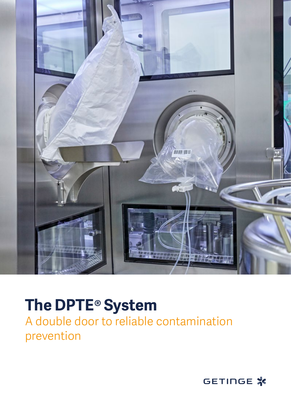

## **The DPTE® System**

A double door to reliable contamination prevention

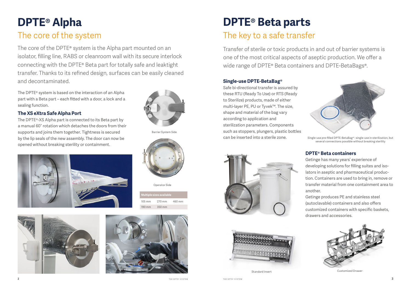# **DPTE® Alpha**

### The core of the system

# **DPTE® Beta parts**

#### The key to a safe transfer

#### **Single-use DPTE-BetaBag®**

Transfer of sterile or toxic products in and out of barrier systems is one of the most critical aspects of aseptic production. We offer a wide range of DPTE® Beta containers and DPTE-BetaBags®.

Safe bi-directional transfer is assured by these RTU (Ready To Use) or RTS (Ready to Sterilize) products, made of either multi-layer PE, PU or Tyvek™. The size, shape and material of the bag vary according to application and sterilization parameters. Components such as stoppers, plungers, plastic bottles can be inserted into a sterile zone.

The core of the DPTE<sup>®</sup> system is the Alpha part mounted on an isolator, filling line, RABS or cleanroom wall with its secure interlock connecting with the DPTE® Beta part for totally safe and leaktight transfer. Thanks to its refined design, surfaces can be easily cleaned and decontaminated.

> **DPTE® Beta containers** Getinge has many years' experience of developing solutions for filling suites and isolators in aseptic and pharmaceutical production. Containers are used to bring in, remove or transfer material from one containment area to another. Getinge produces PE and stainless steel (autoclavable) containers and also offers customized containers with specific baskets, drawers and accessories.



**Multiple sizes available**  $105 \text{ mm}$  270 mm 460 m

The DPTE® system is based on the interaction of an Alpha part with a Beta part – each fitted with a door, a lock and a sealing function.

#### **The XS eXtra Safe Alpha Port**

The DPTE®-XS Alpha part is connected to its Beta part by a manual 60° rotation which detaches the doors from their supports and joins them together. Tightness is secured by the lip seals of the new assembly. The door can now be opened without breaking sterility or containment.







190 mm 350 mm

Operator Side

Barrier System Side

Single-use pre-filled DPTE-BetaBag® : single-use in sterilization, but several connections possible without breaking sterility



Customized Drawe

Standard Insert

THE DPTE® SYSTEM THE DPTE® SYSTEM THE DPTE® SYSTEM THE DPTE® SYSTEM  $\bf 3$